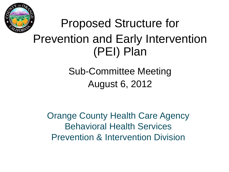

## Proposed Structure for Prevention and Early Intervention (PEI) Plan

### Sub-Committee Meeting August 6, 2012

Orange County Health Care Agency Behavioral Health Services Prevention & Intervention Division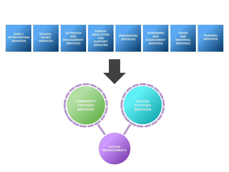| <b>EARLY</b><br><b>INTERVENTION</b><br><b>SERVICES</b> | <b>SCHOOL-</b><br><b>BASED</b><br><b>SERVICES</b> | <b>OUTREACH</b><br><b>AND</b><br><b>ENGAGEMENT</b><br><b>SERVICES</b> | <b>PARENT</b><br><b>EDUCATION</b><br><b>AND</b><br><b>SUPPORT</b><br><b>SERVICES</b> | <b>PREVENTION</b><br><b>SERVICES</b> | <b>SCREENING</b><br><b>AND</b><br><b>ASSESSMENT</b><br><b>SERVICES</b> | <b>CRISIS</b><br><b>AND</b><br><b>REFERRAL</b><br><b>SERVICES</b> | <b>TRAINING</b><br><b>SERVICES</b> |
|--------------------------------------------------------|---------------------------------------------------|-----------------------------------------------------------------------|--------------------------------------------------------------------------------------|--------------------------------------|------------------------------------------------------------------------|-------------------------------------------------------------------|------------------------------------|
|                                                        |                                                   |                                                                       |                                                                                      |                                      |                                                                        |                                                                   |                                    |
|                                                        |                                                   |                                                                       |                                                                                      |                                      |                                                                        |                                                                   |                                    |
|                                                        |                                                   | <b>COMMUNITY</b><br><b>FOCUSED</b><br><b>SERVICES</b>                 |                                                                                      |                                      | <b>SCHOOL</b><br><b>FOCUSED</b><br><b>SERVICES</b>                     |                                                                   |                                    |
|                                                        |                                                   | <b>The Common Service</b>                                             |                                                                                      | <b>SYSTEM</b>                        |                                                                        |                                                                   |                                    |

**ENHANCEMENTS**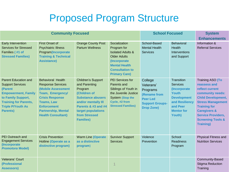### Proposed Program Structure

| <b>Community Focused</b>                                                                                                                                                                             |                                                                                                                                                                                                                                |                                                                                                                                                                                                                       |                                                                                                                                                                               | <b>School Focused</b>                                                                                              | <b>System</b><br><b>Enhancements</b>                                                                                                                           |                                                                                                                                                                                                                                                                     |
|------------------------------------------------------------------------------------------------------------------------------------------------------------------------------------------------------|--------------------------------------------------------------------------------------------------------------------------------------------------------------------------------------------------------------------------------|-----------------------------------------------------------------------------------------------------------------------------------------------------------------------------------------------------------------------|-------------------------------------------------------------------------------------------------------------------------------------------------------------------------------|--------------------------------------------------------------------------------------------------------------------|----------------------------------------------------------------------------------------------------------------------------------------------------------------|---------------------------------------------------------------------------------------------------------------------------------------------------------------------------------------------------------------------------------------------------------------------|
| Early Intervention<br><b>Services for Stressed</b><br>Families (#1 of<br><b>Stressed Families)</b>                                                                                                   | <b>First Onset of</b><br><b>Psychiatric Illness</b><br>Program(Incorporate<br><b>Training &amp; Technical</b><br><b>Assistance)</b>                                                                                            | <b>Orange County Post</b><br><b>Partum Wellness</b>                                                                                                                                                                   | Socialization<br>Program for<br><b>Isolated Adults &amp;</b><br><b>Older Adults</b><br>(Incorporate<br><b>Mental Health</b><br><b>Consultation to</b><br><b>Primary Care)</b> | School-Based<br><b>Mental Health</b><br><b>Services</b>                                                            | <b>Behavioral</b><br><b>Health</b><br><b>Interventions</b><br>and Support                                                                                      | Information &<br><b>Referral Services</b>                                                                                                                                                                                                                           |
| <b>Parent Education and</b><br><b>Support Services</b><br>(Parent<br><b>Empowerment, Family</b><br>to Family Support,<br><b>Training for Parents,</b><br><b>Triple P/Youth As</b><br><b>Parents)</b> | <b>Behavioral Health</b><br><b>Response Services</b><br>(Mobile Assessment<br>Team, Emergency/<br><b>Crisis Response</b><br><b>Teams, Law</b><br><b>Enforcement</b><br><b>Partnership, Mental</b><br><b>Health Consultant)</b> | <b>Children's Support</b><br>and Parenting<br>Program<br>(Children of<br><b>Substance abusers</b><br>and/or mentally III<br><b>Parents &amp; #3 and #4</b><br>target populations<br>from Stressed<br><b>Families)</b> | PEI Services for<br>Parents and<br>Siblings of Youth in<br>the Juvenile Justice<br><b>System (Stop the</b><br>Cycle, #2 from<br><b>Stressed Families)</b>                     | College<br>Veterans'<br>Programs<br>(Rename from<br><b>Peer Led</b><br><b>Support Groups-</b><br><b>Drop Zone)</b> | <b>Transition</b><br><b>Services</b><br>(Incorporate<br><b>Youth</b><br><b>Development</b><br>and Resiliency<br>and Peer<br><b>Mentor for</b><br><b>Youth)</b> | Training ASO (To<br>reassess and<br>reflect current<br>community needs:<br><b>Child Development,</b><br><b>Stress Management</b><br><b>Training for</b><br><b>Caregivers &amp;</b><br><b>Service Providers,</b><br><b>Screening Tools &amp;</b><br><b>Training)</b> |
| <b>PEI Outreach and</b><br><b>Engagement Services</b><br>(Incorporate<br><b>Promotora Model)</b>                                                                                                     | <b>Crisis Prevention</b><br>Hotline (Operate as a<br>distinctive program)                                                                                                                                                      | <b>Warm Line (Operate</b><br>as a distinctive<br>program)                                                                                                                                                             | <b>Survivor Support</b><br><b>Services</b>                                                                                                                                    | Violence<br>Prevention                                                                                             | School<br><b>Readiness</b><br>Program                                                                                                                          | <b>Physical Fitness and</b><br><b>Nutrition Services</b>                                                                                                                                                                                                            |
| Veterans' Court<br>(Professional<br><b>Assessors)</b>                                                                                                                                                |                                                                                                                                                                                                                                |                                                                                                                                                                                                                       |                                                                                                                                                                               |                                                                                                                    |                                                                                                                                                                | Community-Based<br><b>Stigma Reduction</b><br>Training                                                                                                                                                                                                              |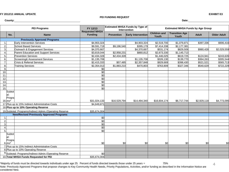### **FY 2012/13 ANNUAL UPDATE EXHIBIT E3**

### **PEI FUNDING REQUEST**

**County:** Date: Date: Date: Date: Date: Date: Date: Date: Date: Date: Date: Date: Date: Date: Date: Date: Date: Date: Date: Date: Date: Date: Date: Date: Date: Date: Date: Date: Date: Date: Date: Date: Date: Date: Date: Da

| <b>PEI Programs</b> |                                          | FY 12/13                                                 | <b>Estimated MHSA Funds by Type of</b><br>Intervention |                   | <b>Estimated MHSA Funds by Age Group</b> |                              |                                |              |                    |
|---------------------|------------------------------------------|----------------------------------------------------------|--------------------------------------------------------|-------------------|------------------------------------------|------------------------------|--------------------------------|--------------|--------------------|
|                     | No.                                      | <b>Name</b>                                              | <b>Requested MHSA</b><br><b>Funding</b>                | <b>Prevention</b> | <b>Early Intervention</b>                | <b>Children</b> and<br>Youth | <b>Transition Age</b><br>Youth | <b>Adult</b> | <b>Older Adult</b> |
|                     |                                          | <b>Previously Approved Programs</b>                      |                                                        |                   |                                          |                              |                                |              |                    |
| 1.                  |                                          | Early Intervention Services                              | \$4,903,324                                            |                   | \$4,903,324                              | \$2,519,700                  | \$1,079,871                    | \$397,336    | \$906,416          |
| $\overline{2}$ .    |                                          | School Based Services                                    | \$9,591,719                                            | \$9,196,540       | \$395,179                                | \$7,414,338                  | \$2,177,381                    |              |                    |
| 3.                  |                                          | Outreach & Engagement Services                           | \$4,370,667                                            |                   | \$4,370,667                              | \$531,174                    | \$829,508                      | \$980,428    | \$2,029,559        |
| 4.                  |                                          | Parent Education and Support Services                    | \$3,819,044                                            | \$2,958,231       | \$860,812                                | \$2,673,330                  | \$1,145,713                    |              |                    |
| $\overline{5}$ .    |                                          | <b>Prevention Services</b>                               | \$2,434,328                                            | \$2,434,328       |                                          | \$1,446,025                  | \$619,725                      | \$124,941    | \$243,635          |
| $\overline{6}$ .    |                                          | Screening& Assessment Services                           | \$1,135,708                                            |                   | \$1,135,708                              | \$326,130                    | \$139,770                      | \$364,263    | \$305,544          |
| $\overline{7}$ .    |                                          | Crisis & Referral Services                               | \$2,415,333                                            | \$57,485          | \$2,357,848                              | \$929,669                    | \$398,430                      | \$521,521    | \$565,713          |
| 8.                  |                                          | <b>Training Services</b>                                 | \$2,354,013                                            | \$1,883,210       | \$470,803                                | \$763,809                    | \$327,346                      | \$540,629    | \$722,229          |
| 9.                  |                                          |                                                          | \$0                                                    |                   |                                          |                              |                                |              |                    |
| 10.                 |                                          |                                                          | \$0                                                    |                   |                                          |                              |                                |              |                    |
| 11.                 |                                          |                                                          | \$0                                                    |                   |                                          |                              |                                |              |                    |
| 12.                 |                                          |                                                          | \$0                                                    |                   |                                          |                              |                                |              |                    |
| 13.                 |                                          |                                                          | \$0                                                    |                   |                                          |                              |                                |              |                    |
| 14.                 |                                          |                                                          | \$0                                                    |                   |                                          |                              |                                |              |                    |
| 15.                 |                                          |                                                          | \$0                                                    |                   |                                          |                              |                                |              |                    |
|                     | Subtot<br>lal:<br>Progral<br>$16.$ $ms*$ |                                                          | \$31,024,133                                           | \$16,529,794      | \$14,494,340                             | \$16,604,174                 | \$6,717,744                    | \$2,929,118  | \$4,773,095        |
|                     |                                          | 17. Plus up to 15% Indirect Administrative Costs         | \$4,649,871                                            |                   |                                          |                              |                                |              |                    |
|                     |                                          | 18. Plus up to 10% Operating Reserve                     |                                                        |                   |                                          |                              |                                |              |                    |
|                     |                                          | 19. Subtotal: Programs/Indirect Admin./Operating Reserve | \$35,674,004                                           |                   |                                          |                              |                                |              |                    |
|                     |                                          | <b>New/Revised Previously Approved Programs</b>          |                                                        |                   |                                          |                              |                                |              |                    |
| 1.                  |                                          |                                                          | \$0                                                    |                   |                                          |                              |                                |              |                    |
| $\overline{2}$ .    |                                          |                                                          | $\overline{30}$                                        |                   |                                          |                              |                                |              |                    |
| 3.                  |                                          |                                                          | \$0                                                    |                   |                                          |                              |                                |              |                    |
| 4.                  |                                          |                                                          | \$0                                                    |                   |                                          |                              |                                |              |                    |
| $\overline{5}$ .    |                                          |                                                          | \$0                                                    |                   |                                          |                              |                                |              |                    |
|                     | Subtot<br>$ a $ :                        |                                                          |                                                        |                   |                                          |                              |                                |              |                    |
|                     | Progra<br>$6.$ ms*                       |                                                          | \$0                                                    | \$0               | \$0                                      | \$0                          | \$O                            | \$0          | \$0                |
|                     |                                          | 7. Plus up to 15% Indirect Administrative Costs          |                                                        |                   |                                          |                              |                                |              |                    |
|                     |                                          | 8. Plus up to 10% Operating Reserve                      |                                                        |                   |                                          |                              |                                |              |                    |
|                     |                                          | 9. Subtotal: Programs/Indirect Admin./Operating Reserve  | \$0                                                    |                   |                                          |                              |                                |              |                    |
|                     |                                          | 10. Total MHSA Funds Requested for PEI                   | \$35,674,004                                           |                   |                                          |                              |                                |              |                    |
|                     |                                          |                                                          |                                                        |                   |                                          |                              |                                |              |                    |

\*Majority of funds must be directed towards individuals under age 25. Percent of funds directed towards those under 25 years = 75% Note: Previously Approved Programs that propose changes to Key Community Health Needs, Priority Populations, Activities, and/or funding as described in the Information Notice are considered New.

4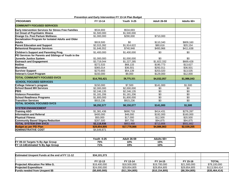| Prevention and Early Intervention FY 13-14 Plan Budget      |              |                   |                         |                      |  |  |  |  |
|-------------------------------------------------------------|--------------|-------------------|-------------------------|----------------------|--|--|--|--|
| <b>PROGRAMS</b>                                             | FY 13-14     | <b>Youth 0-25</b> | <b>Adult 26-59</b>      | Adults 60+           |  |  |  |  |
| <b>COMMUNITY FOCUSED SERVICES</b>                           |              |                   |                         |                      |  |  |  |  |
| <b>Early Intervention Services for Stress Free Families</b> | \$534,693    | \$534,693         |                         |                      |  |  |  |  |
| 1st Onset of Psychiatric Illness                            | \$1,500,000  | \$1,500,000       |                         |                      |  |  |  |  |
| Orange Co. Post Partum Wellness                             | \$1,000,000  | \$290,000         | \$710,000               |                      |  |  |  |  |
| Socialization Program for Isolated Adults and Older         |              |                   |                         |                      |  |  |  |  |
| <b>Adults</b>                                               | \$919,500    | \$0               | \$110.340               | \$809,160            |  |  |  |  |
| <b>Parent Education and Support</b>                         | \$2,015,392  | \$1,914,622       | \$80,616                | \$20,154             |  |  |  |  |
| <b>Behavioral Response Services</b>                         | \$1,646,552  | \$740,948         | \$493,966               | \$411,638            |  |  |  |  |
| Children's Support and Parenting Prog.                      | \$1,400,000  | \$1,400,000       | \$0                     | \$0                  |  |  |  |  |
| PEI Services for Parents and Siblings of Youth in the       |              |                   |                         |                      |  |  |  |  |
| Juvenile Justice System                                     | \$1,000,000  | \$1,000,000       | \$0                     | \$0                  |  |  |  |  |
| Outreach and Engagement                                     | \$3,719,044  | \$1.227.285       | $\overline{31,822,332}$ | \$669.428            |  |  |  |  |
| <b>Hotline</b>                                              | \$272.533    | \$68,133          | \$190,773               | $\overline{$}13,627$ |  |  |  |  |
| Warmline                                                    | \$365,014    | \$36,501          | \$292,011               | \$36,501             |  |  |  |  |
| <b>Survivor Support</b>                                     | \$270,693    | \$54,139          | \$203,020               | \$13,535             |  |  |  |  |
| <b>Veteran's Court Program</b>                              | \$150,000    | \$9.000           | \$129,000               | \$12,000             |  |  |  |  |
| <b>TOTAL COMMUNITY FOCUSED SVCS</b>                         | \$14,793,421 | \$8,775,321       | \$4,032,057             | \$1,986,043          |  |  |  |  |
| <b>SCHOOL FOCUSED SERVICES</b>                              |              |                   |                         |                      |  |  |  |  |
| College Veteran's program                                   | \$150,000    | \$7,500           | \$141,000               | \$1,500              |  |  |  |  |
| <b>School Based MH Services</b>                             | \$2,000,000  | \$2,000,000       | \$0                     | \$0                  |  |  |  |  |
| <b>PBIS</b>                                                 | \$2,246,135  | \$2,246,135       | \$0                     | $\overline{30}$      |  |  |  |  |
| <b>Violence Prevention</b>                                  | \$1,181,206  | \$1,181,206       | \$0                     | \$0                  |  |  |  |  |
| <b>School Readiness Programs</b>                            | \$1,800,000  | \$1,800,000       | \$0                     | \$0                  |  |  |  |  |
| <b>Transition Services</b>                                  | \$915,236    | \$915,236         | \$0                     | $\overline{30}$      |  |  |  |  |
| <b>TOTAL SCHOOL FOCUSED SVCS</b>                            | \$8.292.577  | \$8,150,077       | \$141.000               | \$1.500              |  |  |  |  |
| <b>SYSTEM ENHANCEMENT</b>                                   |              |                   |                         |                      |  |  |  |  |
| <b>Training ASO</b>                                         | \$1,381,436  | \$690,718         | \$414,431               | \$276,287            |  |  |  |  |
| Information and Referral                                    | \$400,000    | \$48,000          | \$192,000               | \$160,000            |  |  |  |  |
| <b>Physical Fitness</b>                                     | \$50,000     | \$17,000          | \$12,500                | \$20,500             |  |  |  |  |
| <b>Community Based Stigma Reduction</b>                     | \$287,500    | \$97,750          | \$94,875                | \$94,875             |  |  |  |  |
| <b>TOTAL SYSTEM ENH SVCS</b>                                | \$2,118,936  | \$853,468         | \$713,806               | \$551,662            |  |  |  |  |
| <b>Budget as per PEI Plan</b>                               | \$29,854,805 | \$17,778,866      | \$4,886,863             | \$2,539,205          |  |  |  |  |
| <b>ADMINISTRATIVE COST</b>                                  | \$4,649,871  |                   |                         |                      |  |  |  |  |

|                                   | $0 - 25$<br>Youth | Adult 26-59 | $60+$<br><b>Adults</b> |
|-----------------------------------|-------------------|-------------|------------------------|
| FY 09-10 Targets % By Age Group   | 75%               | 10%         | 15%                    |
| FY 13-14 Estimated % By Age Group | 71%               | 19%         | 10%                    |

| <b>Estimated Unspent Funds at the end of FY 11-12</b> | \$34,101,373  |                |                |               |                |
|-------------------------------------------------------|---------------|----------------|----------------|---------------|----------------|
|                                                       |               |                |                |               |                |
|                                                       | FY 12-13      | FY 13-14       | FY 14-15       | FY 15-16      | <b>TOTAL</b>   |
| <b>Projected Allocation Per Mike G.</b>               | \$18,400,000  | \$18,500,000   | \$19,700,000   | \$21.500.000  | \$78,100,000   |
| <b>Projected Expenditure</b>                          | \$24,000,000  | \$29.854.805   | \$29,854,805   | \$29,854,805  | \$113,564,414  |
| <b>Funds needed from Unspent \$\$</b>                 | (\$5,600,000) | (\$11,354,805) | (\$10,154,805) | (\$8,354,805) | (\$35,464,414) |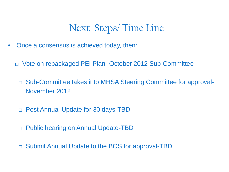### Next Steps/ Time Line

- Once a consensus is achieved today, then:
	- □ Vote on repackaged PEI Plan- October 2012 Sub-Committee
		- □ Sub-Committee takes it to MHSA Steering Committee for approval-November 2012
		- □ Post Annual Update for 30 days-TBD
		- □ Public hearing on Annual Update-TBD
		- □ Submit Annual Update to the BOS for approval-TBD